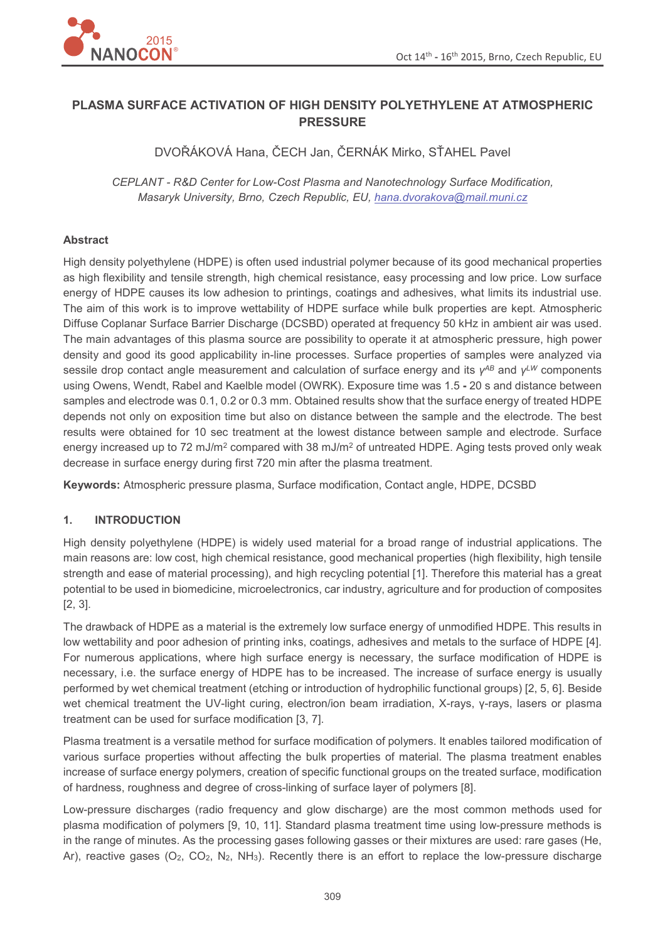

# **PLASMA SURFACE ACTIVATION OF HIGH DENSITY POLYETHYLENE AT ATMOSPHERIC PRESSURE**

# DVOŘÁKOVÁ Hana, ČECH Jan, ČERNÁK Mirko, SŤAHEL Pavel

*CEPLANT - R&D Center for Low-Cost Plasma and Nanotechnology Surface Modification, Masaryk University, Brno, Czech Republic, EU, hana.dvorakova@mail.muni.cz* 

### **Abstract**

High density polyethylene (HDPE) is often used industrial polymer because of its good mechanical properties as high flexibility and tensile strength, high chemical resistance, easy processing and low price. Low surface energy of HDPE causes its low adhesion to printings, coatings and adhesives, what limits its industrial use. The aim of this work is to improve wettability of HDPE surface while bulk properties are kept. Atmospheric Diffuse Coplanar Surface Barrier Discharge (DCSBD) operated at frequency 50 kHz in ambient air was used. The main advantages of this plasma source are possibility to operate it at atmospheric pressure, high power density and good its good applicability in-line processes. Surface properties of samples were analyzed via sessile drop contact angle measurement and calculation of surface energy and its *AB* and *LW* components using Owens, Wendt, Rabel and Kaelble model (OWRK). Exposure time was 1.5 **-** 20 s and distance between samples and electrode was 0.1, 0.2 or 0.3 mm. Obtained results show that the surface energy of treated HDPE depends not only on exposition time but also on distance between the sample and the electrode. The best results were obtained for 10 sec treatment at the lowest distance between sample and electrode. Surface energy increased up to 72 mJ/m $^2$  compared with 38 mJ/m $^2$  of untreated HDPE. Aging tests proved only weak  $\,$ decrease in surface energy during first 720 min after the plasma treatment.

**Keywords:** Atmospheric pressure plasma, Surface modification, Contact angle, HDPE, DCSBD

#### **1. INTRODUCTION**

High density polyethylene (HDPE) is widely used material for a broad range of industrial applications. The main reasons are: low cost, high chemical resistance, good mechanical properties (high flexibility, high tensile strength and ease of material processing), and high recycling potential [1]. Therefore this material has a great potential to be used in biomedicine, microelectronics, car industry, agriculture and for production of composites [2, 3].

The drawback of HDPE as a material is the extremely low surface energy of unmodified HDPE. This results in low wettability and poor adhesion of printing inks, coatings, adhesives and metals to the surface of HDPE [4]. For numerous applications, where high surface energy is necessary, the surface modification of HDPE is necessary, i.e. the surface energy of HDPE has to be increased. The increase of surface energy is usually performed by wet chemical treatment (etching or introduction of hydrophilic functional groups) [2, 5, 6]. Beside wet chemical treatment the UV-light curing, electron/ion beam irradiation, X-rays, y-rays, lasers or plasma treatment can be used for surface modification [3, 7].

Plasma treatment is a versatile method for surface modification of polymers. It enables tailored modification of various surface properties without affecting the bulk properties of material. The plasma treatment enables increase of surface energy polymers, creation of specific functional groups on the treated surface, modification of hardness, roughness and degree of cross-linking of surface layer of polymers [8].

Low-pressure discharges (radio frequency and glow discharge) are the most common methods used for plasma modification of polymers [9, 10, 11]. Standard plasma treatment time using low-pressure methods is in the range of minutes. As the processing gases following gasses or their mixtures are used: rare gases (He, Ar), reactive gases ( $O_2$ ,  $CO_2$ ,  $N_2$ ,  $NH_3$ ). Recently there is an effort to replace the low-pressure discharge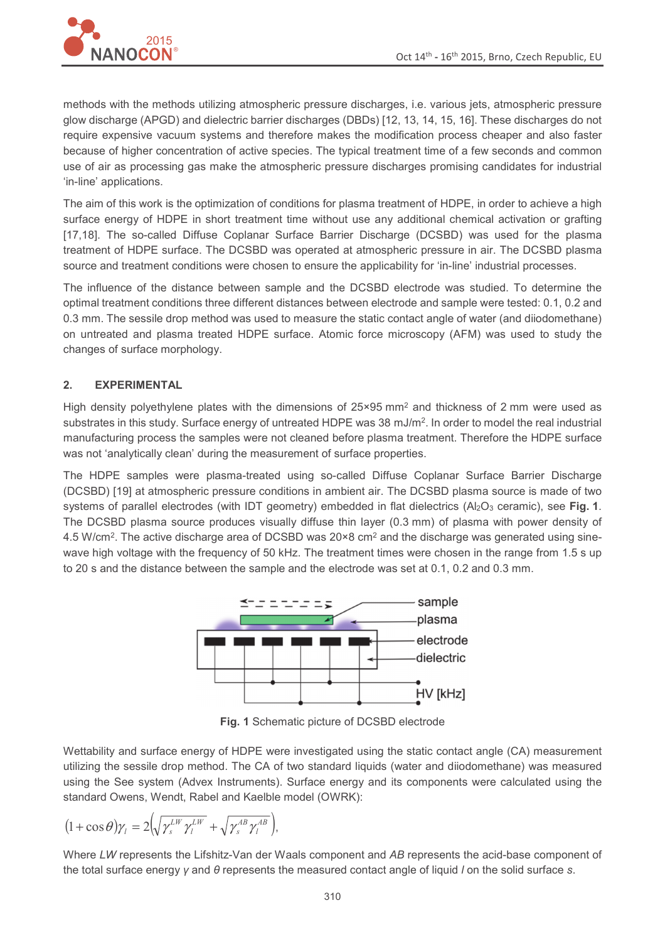

methods with the methods utilizing atmospheric pressure discharges, i.e. various jets, atmospheric pressure glow discharge (APGD) and dielectric barrier discharges (DBDs) [12, 13, 14, 15, 16]. These discharges do not require expensive vacuum systems and therefore makes the modification process cheaper and also faster because of higher concentration of active species. The typical treatment time of a few seconds and common use of air as processing gas make the atmospheric pressure discharges promising candidates for industrial 'in-line' applications.

The aim of this work is the optimization of conditions for plasma treatment of HDPE, in order to achieve a high surface energy of HDPE in short treatment time without use any additional chemical activation or grafting [17,18]. The so-called Diffuse Coplanar Surface Barrier Discharge (DCSBD) was used for the plasma treatment of HDPE surface. The DCSBD was operated at atmospheric pressure in air. The DCSBD plasma source and treatment conditions were chosen to ensure the applicability for 'in-line' industrial processes.

The influence of the distance between sample and the DCSBD electrode was studied. To determine the optimal treatment conditions three different distances between electrode and sample were tested: 0.1, 0.2 and 0.3 mm. The sessile drop method was used to measure the static contact angle of water (and diiodomethane) on untreated and plasma treated HDPE surface. Atomic force microscopy (AFM) was used to study the changes of surface morphology.

## **2. EXPERIMENTAL**

High density polyethylene plates with the dimensions of  $25\times95$  mm<sup>2</sup> and thickness of 2 mm were used as substrates in this study. Surface energy of untreated HDPE was 38 mJ/m². In order to model the real industrial manufacturing process the samples were not cleaned before plasma treatment. Therefore the HDPE surface was not 'analytically clean' during the measurement of surface properties.

The HDPE samples were plasma-treated using so-called Diffuse Coplanar Surface Barrier Discharge (DCSBD) [19] at atmospheric pressure conditions in ambient air. The DCSBD plasma source is made of two systems of parallel electrodes (with IDT geometry) embedded in flat dielectrics (Al<sub>2</sub>O<sub>3</sub> ceramic), see Fig. 1. The DCSBD plasma source produces visually diffuse thin layer (0.3 mm) of plasma with power density of 4.5 W/cm<sup>2</sup>. The active discharge area of DCSBD was 20×8 cm<sup>2</sup> and the discharge was generated using sinewave high voltage with the frequency of 50 kHz. The treatment times were chosen in the range from 1.5 s up to 20 s and the distance between the sample and the electrode was set at 0.1, 0.2 and 0.3 mm.



**Fig. 1** Schematic picture of DCSBD electrode

Wettability and surface energy of HDPE were investigated using the static contact angle (CA) measurement utilizing the sessile drop method. The CA of two standard liquids (water and diiodomethane) was measured using the See system (Advex Instruments). Surface energy and its components were calculated using the standard Owens, Wendt, Rabel and Kaelble model (OWRK):

$$
(1+\cos\theta)\gamma_l=2\left(\sqrt{\gamma_s^{LW}\gamma_l^{LW}}+\sqrt{\gamma_s^{AB}\gamma_l^{AB}}\right),\,
$$

Where *LW* represents the Lifshitz-Van der Waals component and *AB* represents the acid-base component of the total surface energy y and  $\theta$  represents the measured contact angle of liquid *l* on the solid surface *s*.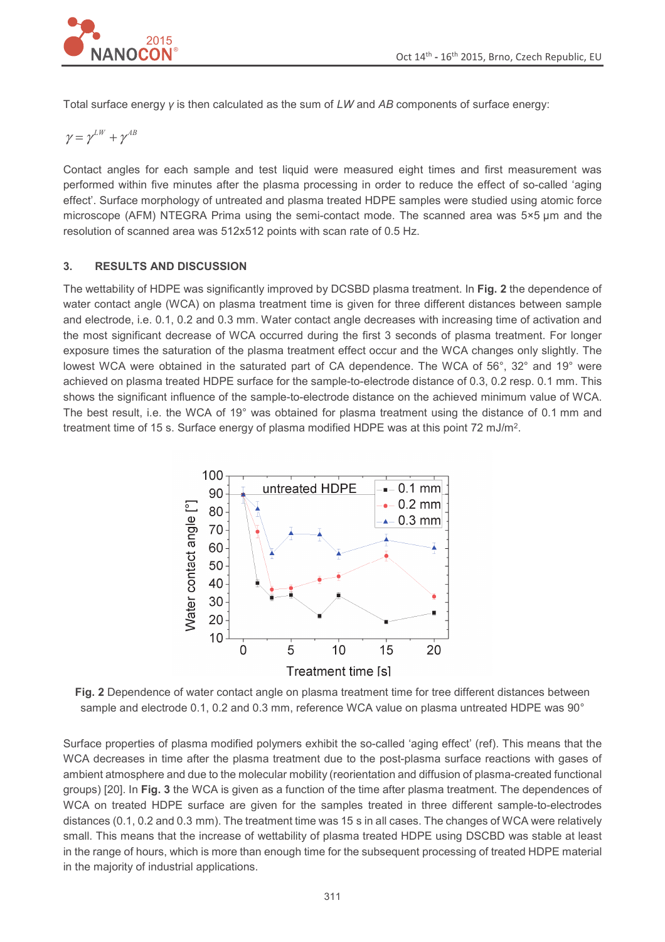

Total surface energy  $\gamma$  is then calculated as the sum of *LW* and *AB* components of surface energy:

$$
\gamma = \gamma^{LW} + \gamma^{AB}
$$

Contact angles for each sample and test liquid were measured eight times and first measurement was performed within five minutes after the plasma processing in order to reduce the effect of so-called 'aging effect'. Surface morphology of untreated and plasma treated HDPE samples were studied using atomic force microscope (AFM) NTEGRA Prima using the semi-contact mode. The scanned area was 5×5 µm and the resolution of scanned area was 512x512 points with scan rate of 0.5 Hz.

## **3. RESULTS AND DISCUSSION**

The wettability of HDPE was significantly improved by DCSBD plasma treatment. In **Fig. 2** the dependence of water contact angle (WCA) on plasma treatment time is given for three different distances between sample and electrode, i.e. 0.1, 0.2 and 0.3 mm. Water contact angle decreases with increasing time of activation and the most significant decrease of WCA occurred during the first 3 seconds of plasma treatment. For longer exposure times the saturation of the plasma treatment effect occur and the WCA changes only slightly. The lowest WCA were obtained in the saturated part of CA dependence. The WCA of 56°, 32° and 19° were achieved on plasma treated HDPE surface for the sample-to-electrode distance of 0.3, 0.2 resp. 0.1 mm. This shows the significant influence of the sample-to-electrode distance on the achieved minimum value of WCA. The best result, i.e. the WCA of 19° was obtained for plasma treatment using the distance of 0.1 mm and treatment time of 15 s. Surface energy of plasma modified HDPE was at this point 72 mJ/m<sup>2</sup>.



**Fig. 2** Dependence of water contact angle on plasma treatment time for tree different distances between sample and electrode 0.1, 0.2 and 0.3 mm, reference WCA value on plasma untreated HDPE was 90°

Surface properties of plasma modified polymers exhibit the so-called 'aging effect' (ref). This means that the WCA decreases in time after the plasma treatment due to the post-plasma surface reactions with gases of ambient atmosphere and due to the molecular mobility (reorientation and diffusion of plasma-created functional groups) [20]. In **Fig. 3** the WCA is given as a function of the time after plasma treatment. The dependences of WCA on treated HDPE surface are given for the samples treated in three different sample-to-electrodes distances (0.1, 0.2 and 0.3 mm). The treatment time was 15 s in all cases. The changes of WCA were relatively small. This means that the increase of wettability of plasma treated HDPE using DSCBD was stable at least in the range of hours, which is more than enough time for the subsequent processing of treated HDPE material in the majority of industrial applications.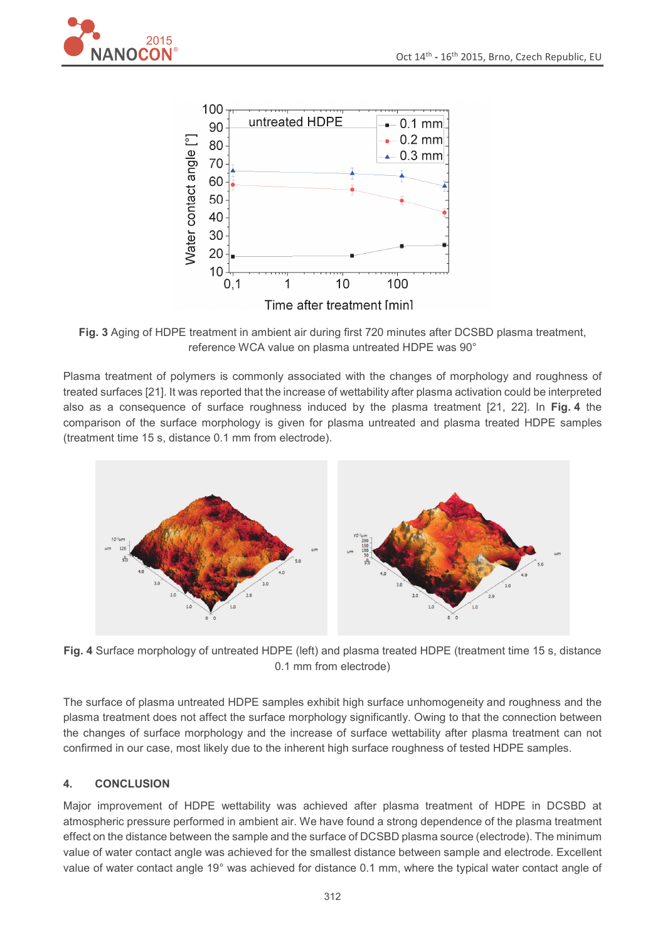



**Fig. 3** Aging of HDPE treatment in ambient air during first 720 minutes after DCSBD plasma treatment, reference WCA value on plasma untreated HDPE was 90°

Plasma treatment of polymers is commonly associated with the changes of morphology and roughness of treated surfaces [21]. It was reported that the increase of wettability after plasma activation could be interpreted also as a consequence of surface roughness induced by the plasma treatment [21, 22]. In **Fig. 4** the comparison of the surface morphology is given for plasma untreated and plasma treated HDPE samples (treatment time 15 s, distance 0.1 mm from electrode).



**Fig. 4** Surface morphology of untreated HDPE (left) and plasma treated HDPE (treatment time 15 s, distance 0.1 mm from electrode)

The surface of plasma untreated HDPE samples exhibit high surface unhomogeneity and roughness and the plasma treatment does not affect the surface morphology significantly. Owing to that the connection between the changes of surface morphology and the increase of surface wettability after plasma treatment can not confirmed in our case, most likely due to the inherent high surface roughness of tested HDPE samples.

## **4. CONCLUSION**

Major improvement of HDPE wettability was achieved after plasma treatment of HDPE in DCSBD at atmospheric pressure performed in ambient air. We have found a strong dependence of the plasma treatment effect on the distance between the sample and the surface of DCSBD plasma source (electrode). The minimum value of water contact angle was achieved for the smallest distance between sample and electrode. Excellent value of water contact angle 19° was achieved for distance 0.1 mm, where the typical water contact angle of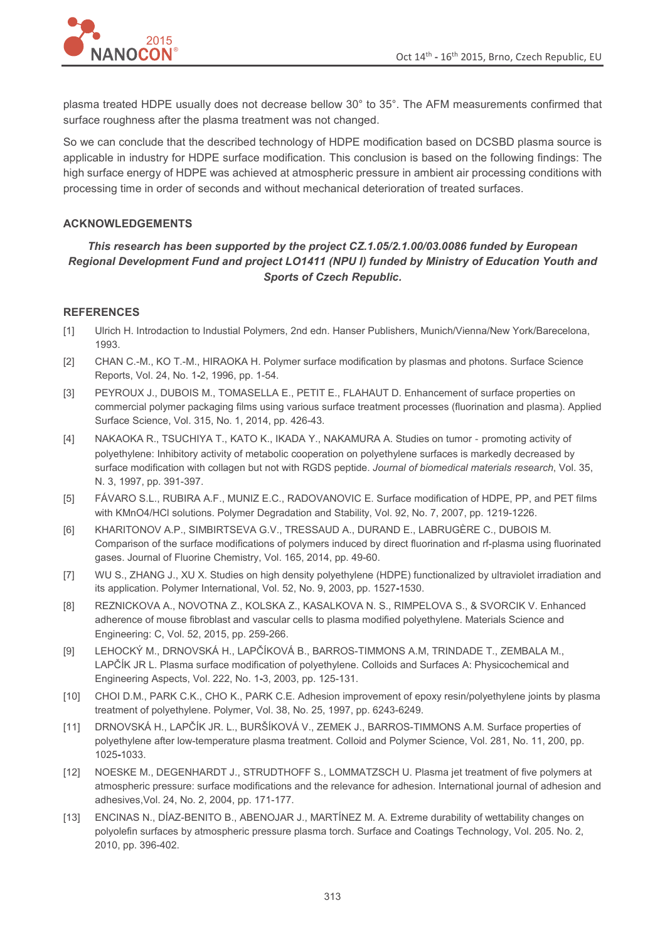

plasma treated HDPE usually does not decrease bellow 30° to 35°. The AFM measurements confirmed that surface roughness after the plasma treatment was not changed.

So we can conclude that the described technology of HDPE modification based on DCSBD plasma source is applicable in industry for HDPE surface modification. This conclusion is based on the following findings: The high surface energy of HDPE was achieved at atmospheric pressure in ambient air processing conditions with processing time in order of seconds and without mechanical deterioration of treated surfaces.

### **ACKNOWLEDGEMENTS**

*This research has been supported by the project CZ.1.05/2.1.00/03.0086 funded by European Regional Development Fund and project LO1411 (NPU I) funded by Ministry of Education Youth and Sports of Czech Republic.* 

#### **REFERENCES**

- [1] Ulrich H. Introdaction to Industial Polymers, 2nd edn. Hanser Publishers, Munich/Vienna/New York/Barecelona, 1993.
- [2] CHAN C.-M., KO T.-M., HIRAOKA H. Polymer surface modification by plasmas and photons. Surface Science Reports, Vol. 24, No. 1**-**2, 1996, pp. 1-54.
- [3] PEYROUX J., DUBOIS M., TOMASELLA E., PETIT E., FLAHAUT D. Enhancement of surface properties on commercial polymer packaging films using various surface treatment processes (fluorination and plasma). Applied Surface Science, Vol. 315, No. 1, 2014, pp. 426-43.
- [4] NAKAOKA R., TSUCHIYA T., KATO K., IKADA Y., NAKAMURA A. Studies on tumor promoting activity of polyethylene: Inhibitory activity of metabolic cooperation on polyethylene surfaces is markedly decreased by surface modification with collagen but not with RGDS peptide. *Journal of biomedical materials research*, Vol. 35, N. 3, 1997, pp. 391-397.
- [5] FÁVARO S.L., RUBIRA A.F., MUNIZ E.C., RADOVANOVIC E. Surface modification of HDPE, PP, and PET films with KMnO4/HCl solutions. Polymer Degradation and Stability, Vol. 92, No. 7, 2007, pp. 1219-1226.
- [6] KHARITONOV A.P., SIMBIRTSEVA G.V., TRESSAUD A., DURAND E., LABRUGÈRE C., DUBOIS M. Comparison of the surface modifications of polymers induced by direct fluorination and rf-plasma using fluorinated gases. Journal of Fluorine Chemistry, Vol. 165, 2014, pp. 49-60.
- [7] WU S., ZHANG J., XU X. Studies on high density polyethylene (HDPE) functionalized by ultraviolet irradiation and its application. Polymer International, Vol. 52, No. 9, 2003, pp. 1527**-**1530.
- [8] REZNICKOVA A., NOVOTNA Z., KOLSKA Z., KASALKOVA N. S., RIMPELOVA S., & SVORCIK V. Enhanced adherence of mouse fibroblast and vascular cells to plasma modified polyethylene. Materials Science and Engineering: C, Vol. 52, 2015, pp. 259-266.
- [9] LEHOCKÝ M., DRNOVSKÁ H., LAPÍKOVÁ B., BARROS-TIMMONS A.M, TRINDADE T., ZEMBALA M., LAPČÍK JR L. Plasma surface modification of polyethylene. Colloids and Surfaces A: Physicochemical and Engineering Aspects, Vol. 222, No. 1**-**3, 2003, pp. 125-131.
- [10] CHOI D.M., PARK C.K., CHO K., PARK C.E. Adhesion improvement of epoxy resin/polyethylene joints by plasma treatment of polyethylene. Polymer, Vol. 38, No. 25, 1997, pp. 6243-6249.
- [11] DRNOVSKÁ H., LAPČÍK JR. L., BURŠÍKOVÁ V., ZEMEK J., BARROS-TIMMONS A.M. Surface properties of polyethylene after low-temperature plasma treatment. Colloid and Polymer Science, Vol. 281, No. 11, 200, pp. 1025**-**1033.
- [12] NOESKE M., DEGENHARDT J., STRUDTHOFF S., LOMMATZSCH U. Plasma jet treatment of five polymers at atmospheric pressure: surface modifications and the relevance for adhesion. International journal of adhesion and adhesives,Vol. 24, No. 2, 2004, pp. 171-177.
- [13] ENCINAS N., DÍAZ-BENITO B., ABENOJAR J., MARTÍNEZ M. A. Extreme durability of wettability changes on polyolefin surfaces by atmospheric pressure plasma torch. Surface and Coatings Technology, Vol. 205. No. 2, 2010, pp. 396-402.